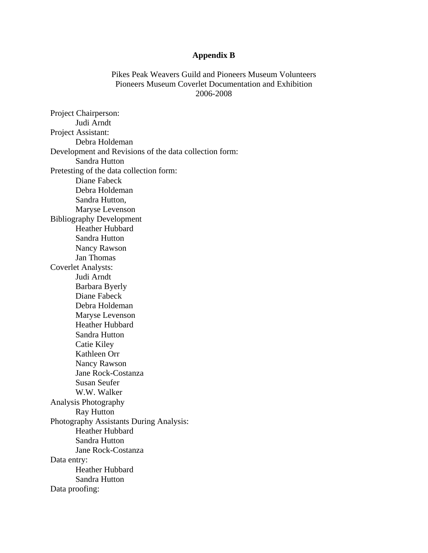## **Appendix B**

Pikes Peak Weavers Guild and Pioneers Museum Volunteers Pioneers Museum Coverlet Documentation and Exhibition 2006-2008

Project Chairperson: Judi Arndt Project Assistant: Debra Holdeman Development and Revisions of the data collection form: Sandra Hutton Pretesting of the data collection form: Diane Fabeck Debra Holdeman Sandra Hutton, Maryse Levenson Bibliography Development Heather Hubbard Sandra Hutton Nancy Rawson Jan Thomas Coverlet Analysts: Judi Arndt Barbara Byerly Diane Fabeck Debra Holdeman Maryse Levenson Heather Hubbard Sandra Hutton Catie Kiley Kathleen Orr Nancy Rawson Jane Rock-Costanza Susan Seufer W.W. Walker Analysis Photography Ray Hutton Photography Assistants During Analysis: Heather Hubbard Sandra Hutton Jane Rock-Costanza Data entry: Heather Hubbard Sandra Hutton Data proofing: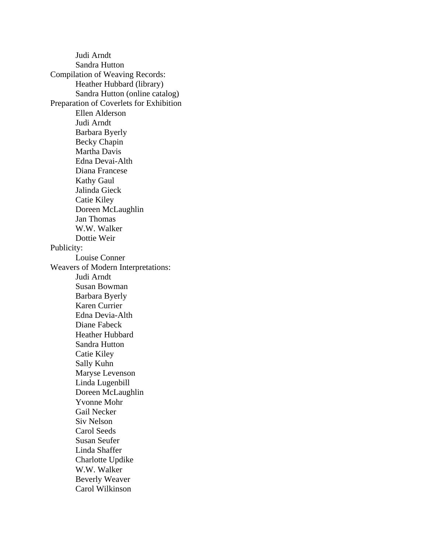Judi Arndt Sandra Hutton Compilation of Weaving Records: Heather Hubbard (library) Sandra Hutton (online catalog) Preparation of Coverlets for Exhibition Ellen Alderson Judi Arndt Barbara Byerly Becky Chapin Martha Davis Edna Devai-Alth Diana Francese Kathy Gaul Jalinda Gieck Catie Kiley Doreen McLaughlin Jan Thomas W.W. Walker Dottie Weir Publicity: Louise Conner Weavers of Modern Interpretations: Judi Arndt Susan Bowman Barbara Byerly Karen Currier Edna Devia-Alth Diane Fabeck Heather Hubbard Sandra Hutton Catie Kiley Sally Kuhn Maryse Levenson Linda Lugenbill Doreen McLaughlin Yvonne Mohr Gail Necker Siv Nelson Carol Seeds Susan Seufer Linda Shaffer Charlotte Updike W.W. Walker Beverly Weaver Carol Wilkinson